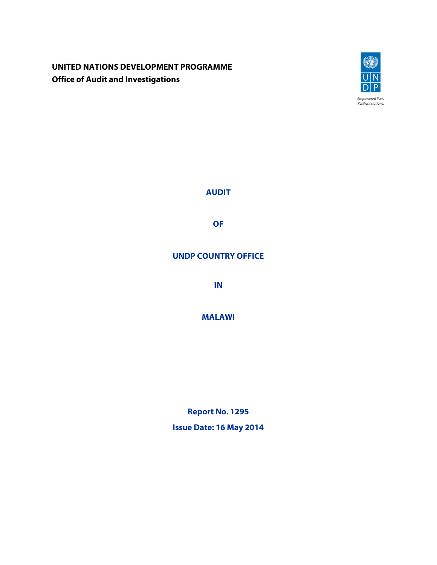# **UNITED NATIONS DEVELOPMENT PROGRAMME Office of Audit and Investigations**



**AUDIT**

**OF**

## **UNDP COUNTRY OFFICE**

**IN**

**MALAWI**

**Report No. 1295 Issue Date: 16 May 2014**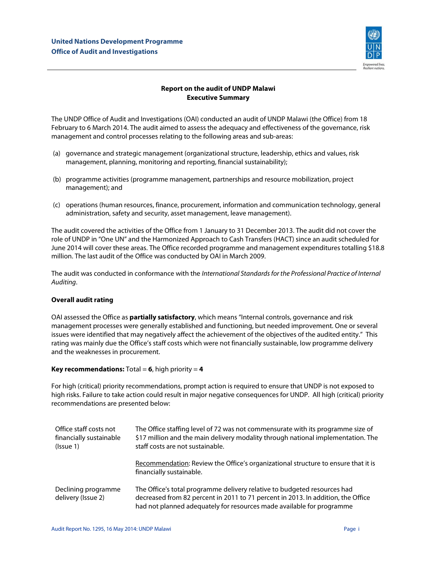

### **Report on the audit of UNDP Malawi Executive Summary**

The UNDP Office of Audit and Investigations (OAI) conducted an audit of UNDP Malawi (the Office) from 18 February to 6 March 2014. The audit aimed to assess the adequacy and effectiveness of the governance, risk management and control processes relating to the following areas and sub-areas:

- (a) governance and strategic management (organizational structure, leadership, ethics and values, risk management, planning, monitoring and reporting, financial sustainability);
- (b) programme activities (programme management, partnerships and resource mobilization, project management); and
- (c) operations (human resources, finance, procurement, information and communication technology, general administration, safety and security, asset management, leave management).

The audit covered the activities of the Office from 1 January to 31 December 2013. The audit did not cover the role of UNDP in "One UN" and the Harmonized Approach to Cash Transfers (HACT) since an audit scheduled for June 2014 will cover these areas. The Office recorded programme and management expenditures totalling \$18.8 million. The last audit of the Office was conducted by OAI in March 2009.

The audit was conducted in conformance with the *International Standards for the Professional Practice of Internal Auditing*.

### **Overall audit rating**

OAI assessed the Office as **partially satisfactory**, which means "Internal controls, governance and risk management processes were generally established and functioning, but needed improvement. One or several issues were identified that may negatively affect the achievement of the objectives of the audited entity." This rating was mainly due the Office's staff costs which were not financially sustainable, low programme delivery and the weaknesses in procurement.

### **Key recommendations:**  $Total = 6$ , high priority  $= 4$

For high (critical) priority recommendations, prompt action is required to ensure that UNDP is not exposed to high risks. Failure to take action could result in major negative consequences for UNDP. All high (critical) priority recommendations are presented below:

| Office staff costs not<br>financially sustainable<br>(Issue 1) | The Office staffing level of 72 was not commensurate with its programme size of<br>\$17 million and the main delivery modality through national implementation. The<br>staff costs are not sustainable.                               |
|----------------------------------------------------------------|---------------------------------------------------------------------------------------------------------------------------------------------------------------------------------------------------------------------------------------|
|                                                                | Recommendation: Review the Office's organizational structure to ensure that it is<br>financially sustainable.                                                                                                                         |
| Declining programme<br>delivery (Issue 2)                      | The Office's total programme delivery relative to budgeted resources had<br>decreased from 82 percent in 2011 to 71 percent in 2013. In addition, the Office<br>had not planned adequately for resources made available for programme |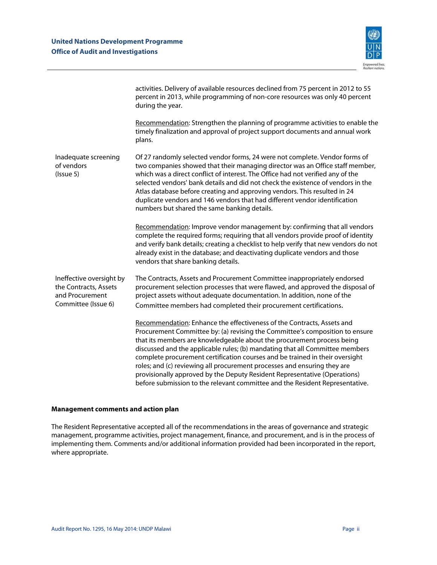

|                                                                                             | activities. Delivery of available resources declined from 75 percent in 2012 to 55<br>percent in 2013, while programming of non-core resources was only 40 percent<br>during the year.                                                                                                                                                                                                                                                                                                                                                                                                                                                    |
|---------------------------------------------------------------------------------------------|-------------------------------------------------------------------------------------------------------------------------------------------------------------------------------------------------------------------------------------------------------------------------------------------------------------------------------------------------------------------------------------------------------------------------------------------------------------------------------------------------------------------------------------------------------------------------------------------------------------------------------------------|
|                                                                                             | Recommendation: Strengthen the planning of programme activities to enable the<br>timely finalization and approval of project support documents and annual work<br>plans.                                                                                                                                                                                                                                                                                                                                                                                                                                                                  |
| Inadequate screening<br>of vendors<br>(Is sue 5)                                            | Of 27 randomly selected vendor forms, 24 were not complete. Vendor forms of<br>two companies showed that their managing director was an Office staff member,<br>which was a direct conflict of interest. The Office had not verified any of the<br>selected vendors' bank details and did not check the existence of vendors in the<br>Atlas database before creating and approving vendors. This resulted in 24<br>duplicate vendors and 146 vendors that had different vendor identification<br>numbers but shared the same banking details.                                                                                            |
|                                                                                             | Recommendation: Improve vendor management by: confirming that all vendors<br>complete the required forms; requiring that all vendors provide proof of identity<br>and verify bank details; creating a checklist to help verify that new vendors do not<br>already exist in the database; and deactivating duplicate vendors and those<br>vendors that share banking details.                                                                                                                                                                                                                                                              |
| Ineffective oversight by<br>the Contracts, Assets<br>and Procurement<br>Committee (Issue 6) | The Contracts, Assets and Procurement Committee inappropriately endorsed<br>procurement selection processes that were flawed, and approved the disposal of<br>project assets without adequate documentation. In addition, none of the<br>Committee members had completed their procurement certifications.                                                                                                                                                                                                                                                                                                                                |
|                                                                                             | Recommendation: Enhance the effectiveness of the Contracts, Assets and<br>Procurement Committee by: (a) revising the Committee's composition to ensure<br>that its members are knowledgeable about the procurement process being<br>discussed and the applicable rules; (b) mandating that all Committee members<br>complete procurement certification courses and be trained in their oversight<br>roles; and (c) reviewing all procurement processes and ensuring they are<br>provisionally approved by the Deputy Resident Representative (Operations)<br>before submission to the relevant committee and the Resident Representative. |

#### **Management comments and action plan**

The Resident Representative accepted all of the recommendations in the areas of governance and strategic management, programme activities, project management, finance, and procurement, and is in the process of implementing them. Comments and/or additional information provided had been incorporated in the report, where appropriate.